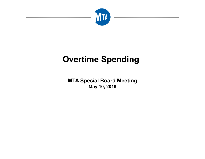

# **Overtime Spending**

**MTA Special Board Meeting May 10, 2019**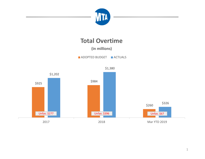

## **Total Overtime**

**(in millions)**

ADOPTED BUDGET IN ACTUALS

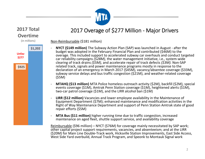

#### **2017 Total Overtime**

(in millions)

**\$1,202** 

**\$925** 

**Unfav\$277**

#### Non‐Reimbursable (\$181 million)

 $\overline{\phantom{a}}$  **NYCT (\$149 million)** The Subway Action Plan (SAP) was launched in August ‐ after the budget was adopted in the February Financial Plan and contributed (\$46M) to the overage. This included support to accelerated subway car overhauls and conduct targeted car reliability campaigns *(\$28M),* the water management initiative, i.e., system‐wide clearing of track drains *(\$5M),* and accelerate repair of track defects *(\$3M).* Non‐SAP related track, signals and power maintenance programs mostly in response to the declaration of an emergency in March 2017 (\$45M), vacancy/absentee coverage (\$33M), subway service delays and bus traffic congestion (\$21M), and weather‐related coverage (\$5M)

2017 Overage of \$277 Million - Major Drivers

- $\overline{a}$  **MTAHQ (\$13 million)** MTA Police homeless outreach activity (\$2M), backfill (\$2M), special events coverage (\$1M), Amtrak Penn Station coverage (\$1M), heightened alerts (\$1M), two‐car patrol coverage (\$1M), and the LIRR alcohol ban (\$1M)
- $\blacksquare$  **LIRR (\$12 million)** Vacancies and lower employee availability in the Maintenance of Equipment Department (\$7M); enhanced maintenance and modification activities in the Right of Way Maintenance Department and support of Penn Station Amtrak state of good repair efforts (\$5M)
- $\overline{\phantom{a}}$  **MTA Bus (\$11 million)** higher running time due to traffic congestion, increased maintenance on aged fleet, shuttle support service, and availability coverage

Reimbursable (\$96 million) – NYCT (\$76M) for coverage mainly necessitated by SAP work; other capital project support requirements, vacancies, and absenteeism; and at the LIRR (\$20M) for Main Line Double‐Track work, Hicksville Station Improvements, East Side Access, West Side Yard overbuild, Annual Track Program, and Speonk to Montauk Signal work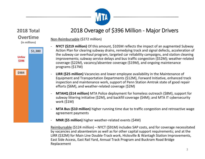

### 2018 Overage of \$396 Million ‐ Major Drivers

Non‐Reimbursable (\$272 million)

- ‐ **NYCT (\$219 million)** Of this amount, \$105M reflects the impact of an augmented Subway Action Plan for clearing subway drains, remedying track and signal defects, acceleration of the subway car overhaul program, targeted car reliability campaigns, and station cleaning improvements; subway service delays and bus traffic congestion (\$52M); weather‐related coverage (\$22M), vacancy/absentee coverage (\$19M), and ongoing maintenance programs (\$17M)
- **LIRR (\$25 million)** Vacancies and lower employee availability in the Maintenance of Equipment and Transportation Departments (\$12M), Forward Initiative, enhanced track inspection and maintenance work, support of Penn Station Amtrak state of good repair efforts (\$6M), and weather‐related coverage (\$2M)
- ‐ **MTAHQ (\$14 million)** MTA Police deployment for homeless outreach (\$8M), support for subway littering initiative (\$2M), and backfill coverage (\$4M); and MTA IT cybersecurity work (\$1M)
- $\overline{a}$  **MTA Bus (\$10 million)** higher running time due to traffic congestion and retroactive wage agreement payments
- **MNR (\$5 million)** higher weather‐related events (\$4M)

Reimbursable (\$124 million) – NYCT (\$91M) includes SAP costs, and for coverage necessitated by vacancies and absenteeism as well as for other capital support requirements; and at the LIRR (\$32M) for Main Line Double‐Track work, Hicksville & Wantagh Station Improvements, East Side Access, East Rail Yard, Annual Track Program and Buckram Road Bridge Replacement